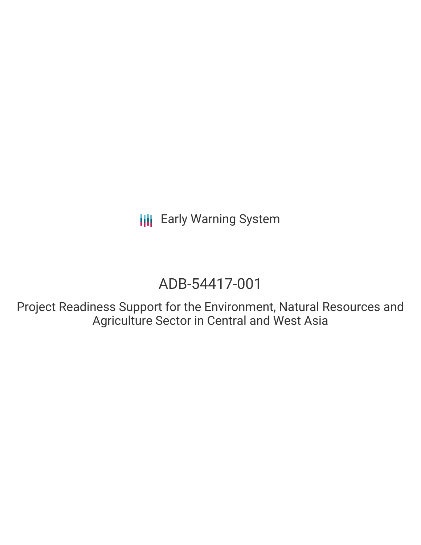**III** Early Warning System

# ADB-54417-001

Project Readiness Support for the Environment, Natural Resources and Agriculture Sector in Central and West Asia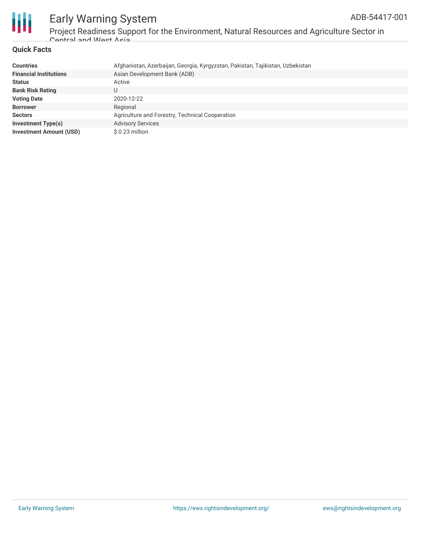

### Early Warning System Project Readiness Support for the Environment, Natural Resources and Agriculture Sector in Central and West Asia

### **Quick Facts**

| <b>Countries</b>               | Afghanistan, Azerbaijan, Georgia, Kyrgyzstan, Pakistan, Tajikistan, Uzbekistan |
|--------------------------------|--------------------------------------------------------------------------------|
| <b>Financial Institutions</b>  | Asian Development Bank (ADB)                                                   |
| <b>Status</b>                  | Active                                                                         |
| <b>Bank Risk Rating</b>        | U                                                                              |
| <b>Voting Date</b>             | 2020-12-22                                                                     |
| <b>Borrower</b>                | Regional                                                                       |
| <b>Sectors</b>                 | Agriculture and Forestry, Technical Cooperation                                |
| <b>Investment Type(s)</b>      | <b>Advisory Services</b>                                                       |
| <b>Investment Amount (USD)</b> | $$0.23$ million                                                                |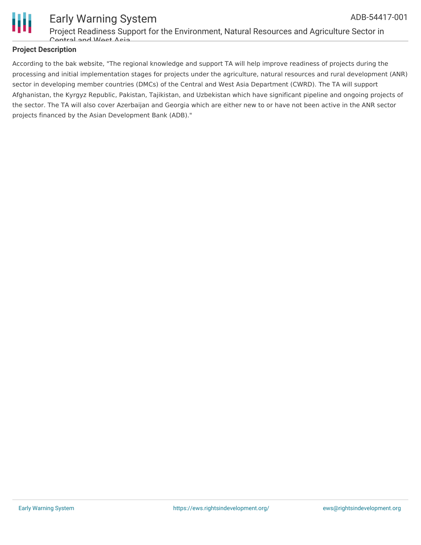

#### Early Warning System Project Readiness Support for the Environment, Natural Resources and Agriculture Sector in Central and West Asia ADB-54417-001

### **Project Description**

According to the bak website, "The regional knowledge and support TA will help improve readiness of projects during the processing and initial implementation stages for projects under the agriculture, natural resources and rural development (ANR) sector in developing member countries (DMCs) of the Central and West Asia Department (CWRD). The TA will support Afghanistan, the Kyrgyz Republic, Pakistan, Tajikistan, and Uzbekistan which have significant pipeline and ongoing projects of the sector. The TA will also cover Azerbaijan and Georgia which are either new to or have not been active in the ANR sector projects financed by the Asian Development Bank (ADB)."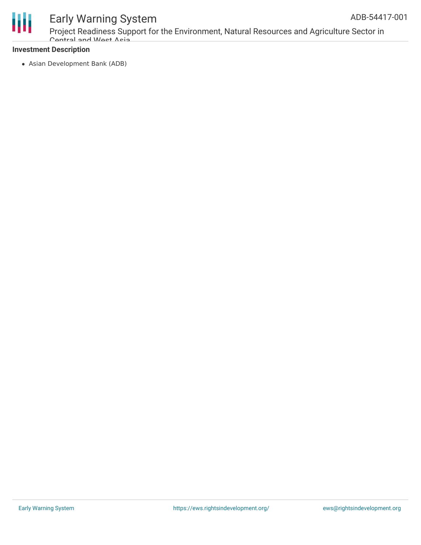



## Early Warning System

Project Readiness Support for the Environment, Natural Resources and Agriculture Sector in Cantral and Wast Asia

### **Investment Description**

Asian Development Bank (ADB)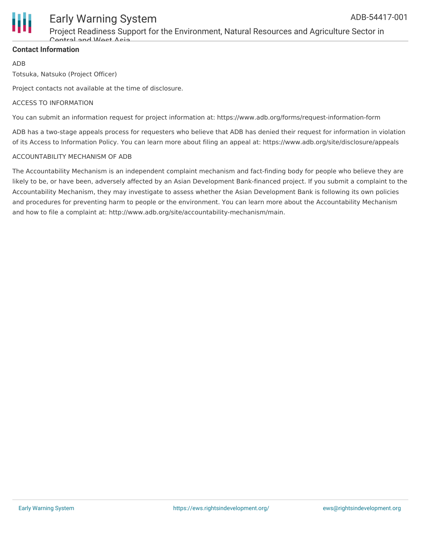

## Early Warning System

Project Readiness Support for the Environment, Natural Resources and Agriculture Sector in Cantral and West Asia

### **Contact Information**

ADB

Totsuka, Natsuko (Project Officer)

Project contacts not available at the time of disclosure.

### ACCESS TO INFORMATION

You can submit an information request for project information at: https://www.adb.org/forms/request-information-form

ADB has a two-stage appeals process for requesters who believe that ADB has denied their request for information in violation of its Access to Information Policy. You can learn more about filing an appeal at: https://www.adb.org/site/disclosure/appeals

### ACCOUNTABILITY MECHANISM OF ADB

The Accountability Mechanism is an independent complaint mechanism and fact-finding body for people who believe they are likely to be, or have been, adversely affected by an Asian Development Bank-financed project. If you submit a complaint to the Accountability Mechanism, they may investigate to assess whether the Asian Development Bank is following its own policies and procedures for preventing harm to people or the environment. You can learn more about the Accountability Mechanism and how to file a complaint at: http://www.adb.org/site/accountability-mechanism/main.